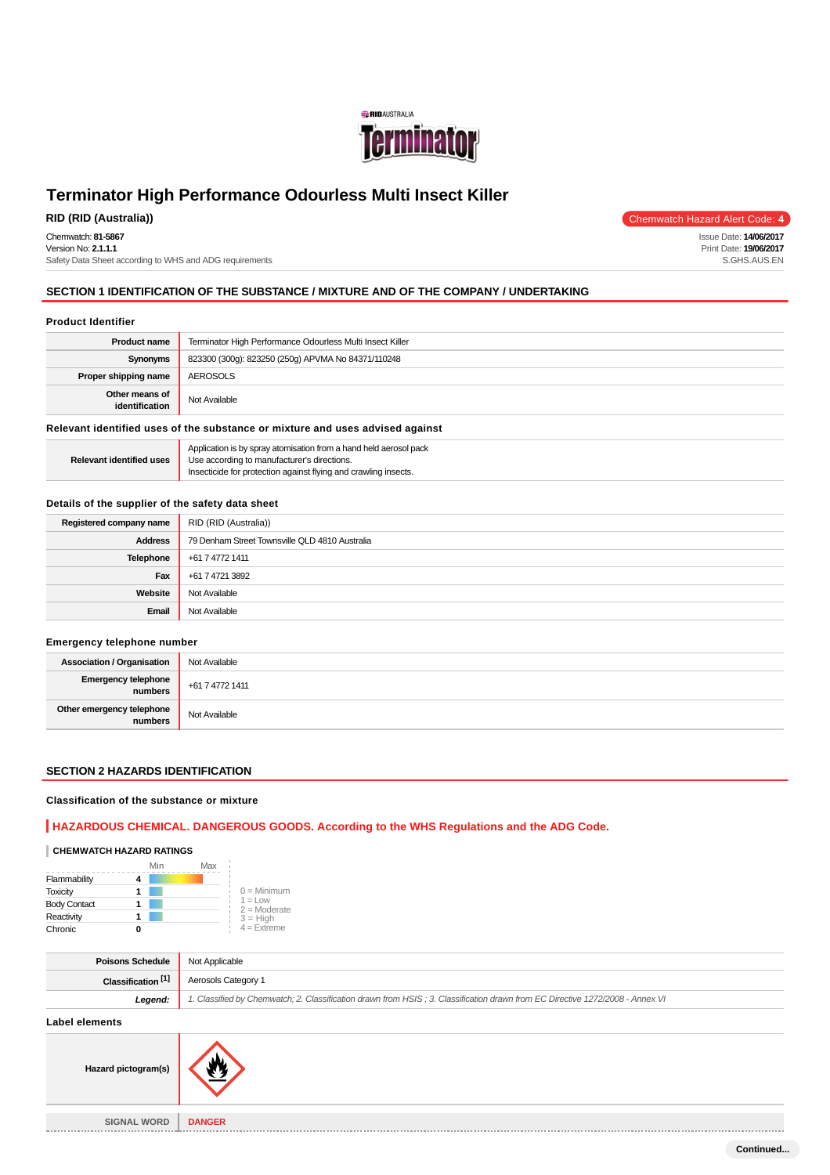

Chemwatch: **81-5867** Version No: **2.1.1.1** Safety Data Sheet according to WHS and ADG requirements

**RID (RID (Australia))** Chemwatch Hazard Alert Code: **4**

Issue Date: **14/06/2017** Print Date: **19/06/2017** S.GHS.AUS.EN

## **SECTION 1 IDENTIFICATION OF THE SUBSTANCE / MIXTURE AND OF THE COMPANY / UNDERTAKING**

### **Product Identifier**

| <b>Product name</b>              | Terminator High Performance Odourless Multi Insect Killer |
|----------------------------------|-----------------------------------------------------------|
| Synonyms                         | 823300 (300g): 823250 (250g) APVMA No 84371/110248        |
| Proper shipping name             | AEROSOLS                                                  |
| Other means of<br>identification | Not Available                                             |

#### **Relevant identified uses of the substance or mixture and uses advised against**

|                                 | Application is by spray atomisation from a hand held aerosol pack |
|---------------------------------|-------------------------------------------------------------------|
| <b>Relevant identified uses</b> | Use according to manufacturer's directions.                       |
|                                 | Insecticide for protection against flying and crawling insects.   |

#### **Details of the supplier of the safety data sheet**

| Registered company name | RID (RID (Australia))                          |
|-------------------------|------------------------------------------------|
| <b>Address</b>          | 79 Denham Street Townsville QLD 4810 Australia |
| Telephone               | +61 7 4772 1411                                |
| Fax                     | +61 7 4721 3892                                |
| Website                 | Not Available                                  |
| Email                   | Not Available                                  |

#### **Emergency telephone number**

| <b>Association / Organisation</b>    | Not Available   |
|--------------------------------------|-----------------|
| Emergency telephone<br>numbers       | +61 7 4772 1411 |
| Other emergency telephone<br>numbers | Not Available   |

## **SECTION 2 HAZARDS IDENTIFICATION**

## **Classification of the substance or mixture**

#### **HAZARDOUS CHEMICAL. DANGEROUS GOODS. According to the WHS Regulations and the ADG Code.**

## **CHEMWATCH HAZARD RATINGS**

|                     | Min | Max |                              |
|---------------------|-----|-----|------------------------------|
| Flammability        |     |     |                              |
| <b>Toxicity</b>     |     |     | $0 =$ Minimum                |
| <b>Body Contact</b> |     |     | $1 = 1$ ow<br>$2 =$ Moderate |
| Reactivity          |     |     | $3 = High$                   |
| Chronic             |     |     | $4 =$ Extreme                |

| Poisons Schedule                   | Not Applicable                                                                                                                |
|------------------------------------|-------------------------------------------------------------------------------------------------------------------------------|
| Classification <sup>[1]</sup>      | Aerosols Category 1                                                                                                           |
| Legend:                            | 1. Classified by Chemwatch; 2. Classification drawn from HSIS; 3. Classification drawn from EC Directive 1272/2008 - Annex VI |
| the state of the components of the |                                                                                                                               |

#### **Label elements**



**SIGNAL WORD DANGER**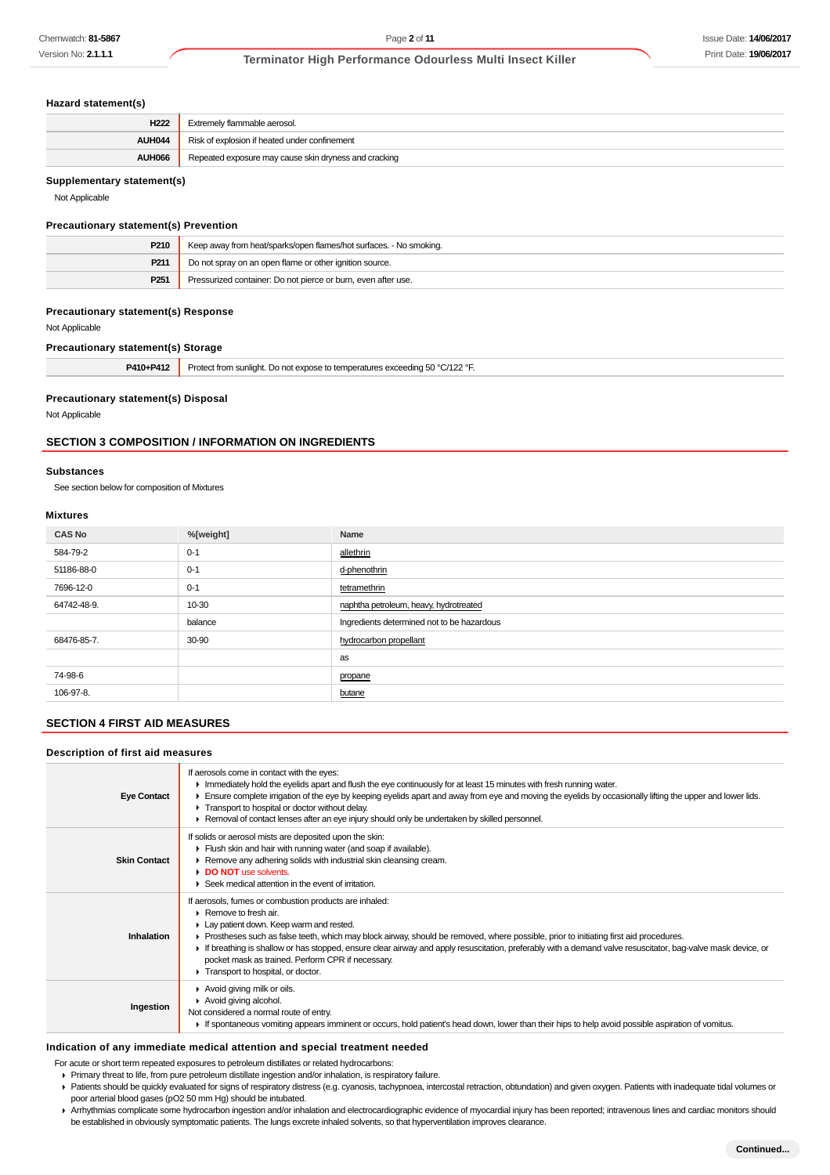#### **Hazard statement(s)**

| H <sub>222</sub> | Extremelv flammable aerosol.                          |
|------------------|-------------------------------------------------------|
| AUH044           | Risk of explosion if heated under confinement         |
| <b>AUH066</b>    | Repeated exposure may cause skin dryness and cracking |

## **Supplementary statement(s)**

Not Applicable

#### **Precautionary statement(s) Prevention**

| P210             | Keep away from heat/sparks/open flames/hot surfaces. - No smoking. |
|------------------|--------------------------------------------------------------------|
| P <sub>211</sub> | Do not spray on an open flame or other ignition source.            |
| P <sub>251</sub> | Pressurized container: Do not pierce or burn, even after use.      |

#### **Precautionary statement(s) Response**

Not Applicable

#### **Precautionary statement(s) Storage**

| $-144$<br>7410+ | `/122 °F.<br>Pro.<br>ect from s<br>unliar<br>המיו ולה<br>הז ARC<br>not<br>expo<br>ueralures exceediri<br>the contract of the contract of the contract of the contract of the contract of<br>- 1 |
|-----------------|-------------------------------------------------------------------------------------------------------------------------------------------------------------------------------------------------|
|-----------------|-------------------------------------------------------------------------------------------------------------------------------------------------------------------------------------------------|

#### **Precautionary statement(s) Disposal**

Not Applicable

#### **SECTION 3 COMPOSITION / INFORMATION ON INGREDIENTS**

#### **Substances**

See section below for composition of Mixtures

#### **Mixtures**

| <b>CAS No</b> | %[weight] | Name                                       |
|---------------|-----------|--------------------------------------------|
| 584-79-2      | $0 - 1$   | allethrin                                  |
| 51186-88-0    | $0 - 1$   | d-phenothrin                               |
| 7696-12-0     | $0 - 1$   | tetramethrin                               |
| 64742-48-9.   | 10-30     | naphtha petroleum, heavy, hydrotreated     |
|               | balance   | Ingredients determined not to be hazardous |
| 68476-85-7.   | 30-90     | hydrocarbon propellant                     |
|               |           | as                                         |
| 74-98-6       |           | propane                                    |
| 106-97-8.     |           | butane                                     |

#### **SECTION 4 FIRST AID MEASURES**

#### **Description of first aid measures**

| <b>Eye Contact</b>  | If aerosols come in contact with the eyes:<br>Inmediately hold the eyelids apart and flush the eye continuously for at least 15 minutes with fresh running water.<br>Ensure complete irrigation of the eye by keeping eyelids apart and away from eye and moving the eyelids by occasionally lifting the upper and lower lids.<br>Transport to hospital or doctor without delay.<br>► Removal of contact lenses after an eye injury should only be undertaken by skilled personnel.                                                           |
|---------------------|-----------------------------------------------------------------------------------------------------------------------------------------------------------------------------------------------------------------------------------------------------------------------------------------------------------------------------------------------------------------------------------------------------------------------------------------------------------------------------------------------------------------------------------------------|
| <b>Skin Contact</b> | If solids or aerosol mists are deposited upon the skin:<br>Flush skin and hair with running water (and soap if available).<br>Remove any adhering solids with industrial skin cleansing cream.<br>DO NOT use solvents.<br>▶ Seek medical attention in the event of irritation.                                                                                                                                                                                                                                                                |
| Inhalation          | If aerosols, fumes or combustion products are inhaled:<br>$\triangleright$ Remove to fresh air.<br>Lay patient down. Keep warm and rested.<br>► Prostheses such as false teeth, which may block airway, should be removed, where possible, prior to initiating first aid procedures.<br>If breathing is shallow or has stopped, ensure clear airway and apply resuscitation, preferably with a demand valve resuscitator, bag-valve mask device, or<br>pocket mask as trained. Perform CPR if necessary.<br>Transport to hospital, or doctor. |
| Ingestion           | Avoid giving milk or oils.<br>Avoid giving alcohol.<br>Not considered a normal route of entry.<br>If spontaneous vomiting appears imminent or occurs, hold patient's head down, lower than their hips to help avoid possible aspiration of vomitus.                                                                                                                                                                                                                                                                                           |

## **Indication of any immediate medical attention and special treatment needed**

For acute or short term repeated exposures to petroleum distillates or related hydrocarbons:

- Primary threat to life, from pure petroleum distillate ingestion and/or inhalation, is respiratory failure.
- Patients should be quickly evaluated for signs of respiratory distress (e.g. cyanosis, tachypnoea, intercostal retraction, obtundation) and given oxygen. Patients with inadequate tidal volumes or poor arterial blood gases (pO2 50 mm Hg) should be intubated.
- Arrhythmias complicate some hydrocarbon ingestion and/or inhalation and electrocardiographic evidence of myocardial injury has been reported; intravenous lines and cardiac monitors should be established in obviously symptomatic patients. The lungs excrete inhaled solvents, so that hyperventilation improves clearance.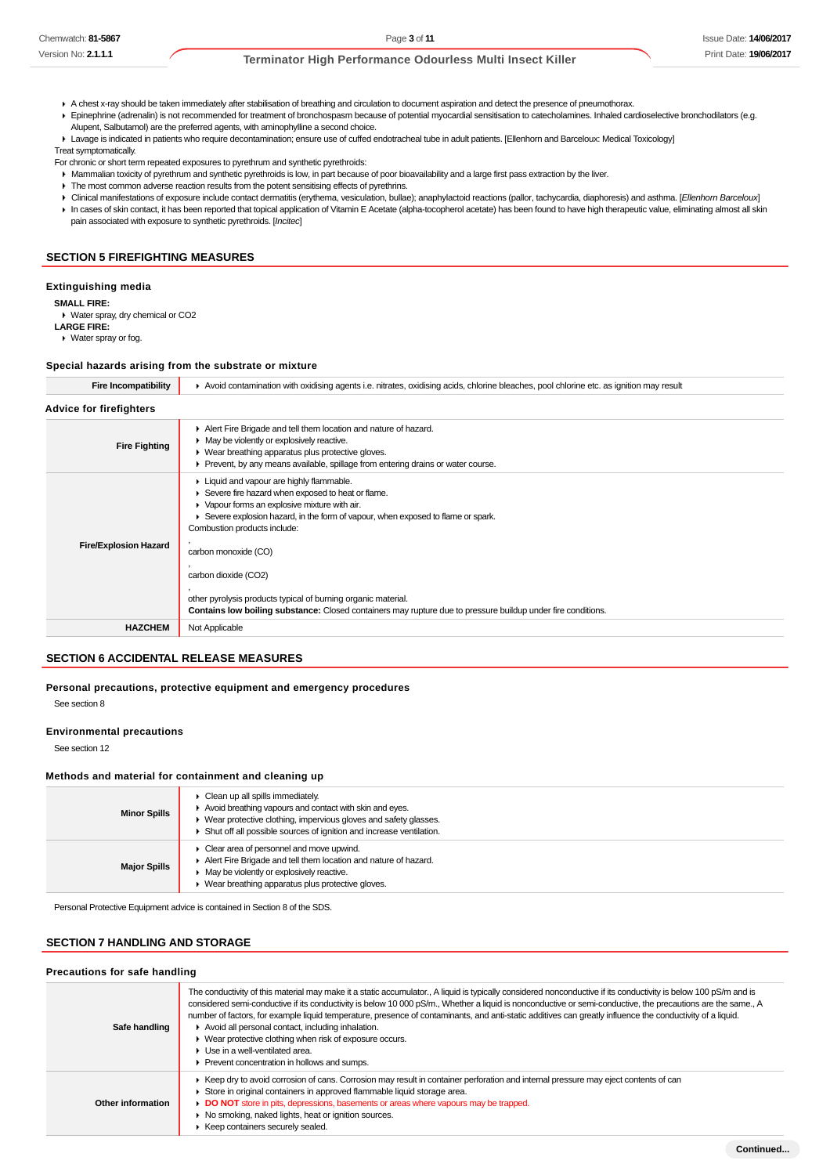A chest x-ray should be taken immediately after stabilisation of breathing and circulation to document aspiration and detect the presence of pneumothorax.

Epinephrine (adrenalin) is not recommended for treatment of bronchospasm because of potential myocardial sensitisation to catecholamines. Inhaled cardioselective bronchodilators (e.g. Alupent, Salbutamol) are the preferred agents, with aminophylline a second choice.

Lavage is indicated in patients who require decontamination; ensure use of cuffed endotracheal tube in adult patients. [Ellenhorn and Barceloux: Medical Toxicology]

Treat symptomatically.

- For chronic or short term repeated exposures to pyrethrum and synthetic pyrethroids:
- Mammalian toxicity of pyrethrum and synthetic pyrethroids is low, in part because of poor bioavailability and a large first pass extraction by the liver.
- The most common adverse reaction results from the potent sensitising effects of pyrethrins.
- ▶ Clinical manifestations of exposure include contact dermatitis (erythema, vesiculation, bullae); anaphylactoid reactions (pallor, tachycardia, diaphoresis) and asthma. [Ellenhorn Barceloux] ▶ In cases of skin contact, it has been reported that topical application of Vitamin E Acetate (alpha-tocopherol acetate) has been found to have high therapeutic value, eliminating almost all skin pain associated with exposure to synthetic pyrethroids. [Incitec]

#### **SECTION 5 FIREFIGHTING MEASURES**

#### **Extinguishing media**

**SMALL FIRE:**

Water spray, dry chemical or CO2 **LARGE FIRE:**

Water spray or fog.

#### **Special hazards arising from the substrate or mixture**

| <b>Fire Incompatibility</b>    | Avoid contamination with oxidising agents i.e. nitrates, oxidising acids, chlorine bleaches, pool chlorine etc. as ignition may result                                                                                                                                                                                                                                                                                                                                                                     |  |  |
|--------------------------------|------------------------------------------------------------------------------------------------------------------------------------------------------------------------------------------------------------------------------------------------------------------------------------------------------------------------------------------------------------------------------------------------------------------------------------------------------------------------------------------------------------|--|--|
| <b>Advice for firefighters</b> |                                                                                                                                                                                                                                                                                                                                                                                                                                                                                                            |  |  |
| <b>Fire Fighting</b>           | Alert Fire Brigade and tell them location and nature of hazard.<br>• May be violently or explosively reactive.<br>▶ Wear breathing apparatus plus protective gloves.<br>• Prevent, by any means available, spillage from entering drains or water course.                                                                                                                                                                                                                                                  |  |  |
| <b>Fire/Explosion Hazard</b>   | Liquid and vapour are highly flammable.<br>▶ Severe fire hazard when exposed to heat or flame.<br>• Vapour forms an explosive mixture with air.<br>Severe explosion hazard, in the form of vapour, when exposed to flame or spark.<br>Combustion products include:<br>carbon monoxide (CO)<br>carbon dioxide (CO2)<br>other pyrolysis products typical of burning organic material.<br><b>Contains low boiling substance:</b> Closed containers may rupture due to pressure buildup under fire conditions. |  |  |
| <b>HAZCHEM</b>                 | Not Applicable                                                                                                                                                                                                                                                                                                                                                                                                                                                                                             |  |  |

#### **SECTION 6 ACCIDENTAL RELEASE MEASURES**

## **Personal precautions, protective equipment and emergency procedures**

See section 8

#### **Environmental precautions**

See section 12

### **Methods and material for containment and cleaning up**

| <b>Minor Spills</b> | Clean up all spills immediately.<br>Avoid breathing vapours and contact with skin and eyes.<br>Wear protective clothing, impervious gloves and safety glasses.<br>Shut off all possible sources of ignition and increase ventilation. |
|---------------------|---------------------------------------------------------------------------------------------------------------------------------------------------------------------------------------------------------------------------------------|
| <b>Major Spills</b> | Clear area of personnel and move upwind.<br>Alert Fire Brigade and tell them location and nature of hazard.<br>• May be violently or explosively reactive.<br>Wear breathing apparatus plus protective gloves.                        |

Personal Protective Equipment advice is contained in Section 8 of the SDS.

### **SECTION 7 HANDLING AND STORAGE**

#### **Precautions for safe handling**

| Safe handling     | The conductivity of this material may make it a static accumulator., A liquid is typically considered nonconductive if its conductivity is below 100 pS/m and is<br>considered semi-conductive if its conductivity is below 10 000 pS/m., Whether a liquid is nonconductive or semi-conductive, the precautions are the same., A<br>number of factors, for example liquid temperature, presence of contaminants, and anti-static additives can greatly influence the conductivity of a liquid.<br>Avoid all personal contact, including inhalation.<br>▶ Wear protective clothing when risk of exposure occurs.<br>$\blacktriangleright$ Use in a well-ventilated area.<br>Prevent concentration in hollows and sumps. |
|-------------------|------------------------------------------------------------------------------------------------------------------------------------------------------------------------------------------------------------------------------------------------------------------------------------------------------------------------------------------------------------------------------------------------------------------------------------------------------------------------------------------------------------------------------------------------------------------------------------------------------------------------------------------------------------------------------------------------------------------------|
| Other information | Keep dry to avoid corrosion of cans. Corrosion may result in container perforation and internal pressure may eject contents of can<br>Store in original containers in approved flammable liquid storage area.<br>DO NOT store in pits, depressions, basements or areas where vapours may be trapped.<br>• No smoking, naked lights, heat or ignition sources.<br>Keep containers securely sealed.                                                                                                                                                                                                                                                                                                                      |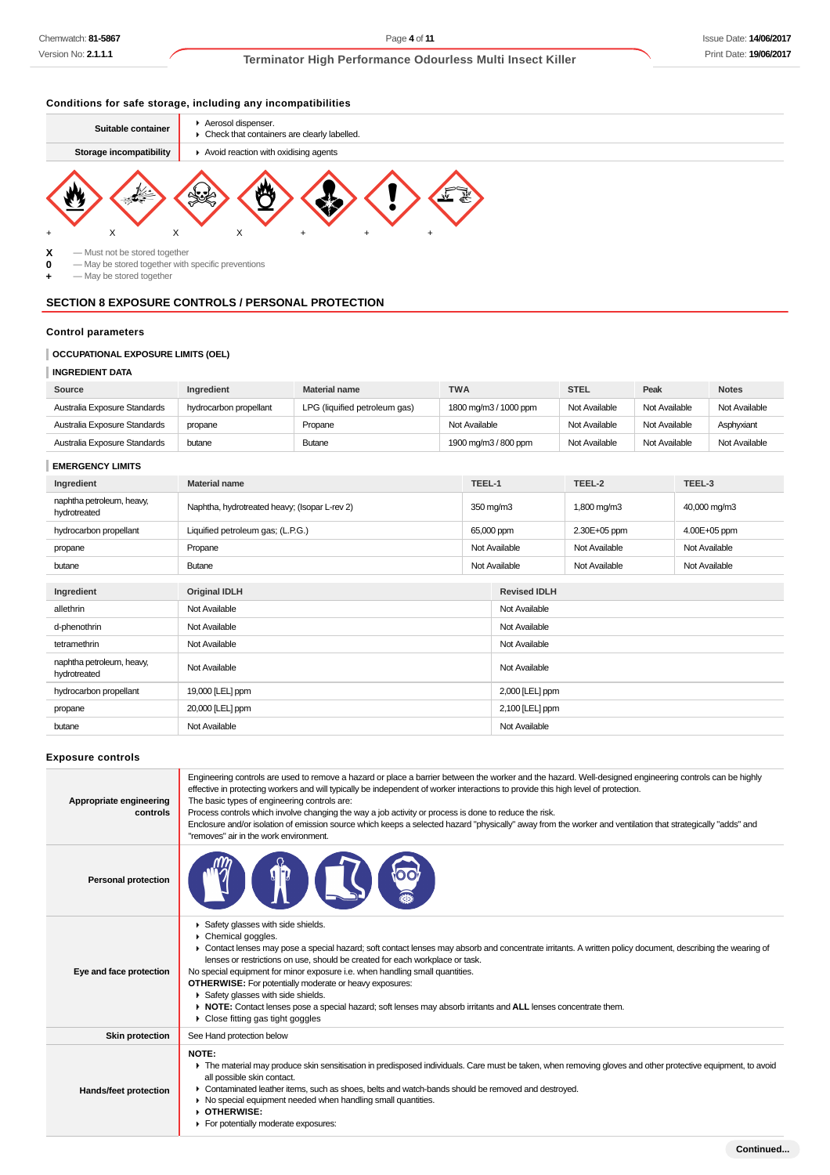**Continued...**

## **Terminator High Performance Odourless Multi Insect Killer**

## **Conditions for safe storage, including any incompatibilities**



**X** — Must not be stored together<br>**0** — May be stored together with

**0** — May be stored together with specific preventions

**+** — May be stored together

## **SECTION 8 EXPOSURE CONTROLS / PERSONAL PROTECTION**

## **Control parameters**

## **OCCUPATIONAL EXPOSURE LIMITS (OEL)**

### **INGREDIENT DATA**

| Source                       | Ingredient             | <b>Material name</b>          | <b>TWA</b>            | <b>STEL</b>   | Peak          | <b>Notes</b>  |
|------------------------------|------------------------|-------------------------------|-----------------------|---------------|---------------|---------------|
| Australia Exposure Standards | hydrocarbon propellant | LPG (liquified petroleum gas) | 1800 mg/m3 / 1000 ppm | Not Available | Not Available | Not Available |
| Australia Exposure Standards | propane                | Propane                       | Not Available         | Not Available | Not Available | Asphyxiant    |
| Australia Exposure Standards | butane                 | <b>Butane</b>                 | 1900 mg/m3 / 800 ppm  | Not Available | Not Available | Not Available |

## **EMERGENCY LIMITS**

| Ingredient                                | <b>Material name</b>                          | TEEL-1 |                     | TEEL-2        | TEEL-3        |
|-------------------------------------------|-----------------------------------------------|--------|---------------------|---------------|---------------|
| naphtha petroleum, heavy,<br>hydrotreated | Naphtha, hydrotreated heavy; (Isopar L-rev 2) |        | 350 mg/m3           | 1,800 mg/m3   | 40,000 mg/m3  |
| hydrocarbon propellant                    | Liquified petroleum gas; (L.P.G.)             |        | 65,000 ppm          | 2.30E+05 ppm  | 4.00E+05 ppm  |
| propane                                   | Propane                                       |        | Not Available       | Not Available | Not Available |
| butane                                    | <b>Butane</b>                                 |        | Not Available       | Not Available | Not Available |
|                                           |                                               |        |                     |               |               |
| Ingredient                                | <b>Original IDLH</b>                          |        | <b>Revised IDLH</b> |               |               |
| allethrin                                 | Not Available                                 |        | Not Available       |               |               |
| d-phenothrin                              | Not Available                                 |        | Not Available       |               |               |
| tetramethrin                              | Not Available                                 |        | Not Available       |               |               |
| naphtha petroleum, heavy,<br>hydrotreated | Not Available                                 |        | Not Available       |               |               |
| hydrocarbon propellant                    | 19,000 [LEL] ppm                              |        | 2,000 [LEL] ppm     |               |               |
| propane                                   | 20,000 [LEL] ppm                              |        | 2,100 [LEL] ppm     |               |               |
| butane                                    | Not Available                                 |        | Not Available       |               |               |
|                                           |                                               |        |                     |               |               |

#### **Exposure controls**

| Appropriate engineering<br>controls | Engineering controls are used to remove a hazard or place a barrier between the worker and the hazard. Well-designed engineering controls can be highly<br>effective in protecting workers and will typically be independent of worker interactions to provide this high level of protection.<br>The basic types of engineering controls are:<br>Process controls which involve changing the way a job activity or process is done to reduce the risk.<br>Enclosure and/or isolation of emission source which keeps a selected hazard "physically" away from the worker and ventilation that strategically "adds" and<br>"removes" air in the work environment.    |
|-------------------------------------|--------------------------------------------------------------------------------------------------------------------------------------------------------------------------------------------------------------------------------------------------------------------------------------------------------------------------------------------------------------------------------------------------------------------------------------------------------------------------------------------------------------------------------------------------------------------------------------------------------------------------------------------------------------------|
| <b>Personal protection</b>          |                                                                                                                                                                                                                                                                                                                                                                                                                                                                                                                                                                                                                                                                    |
| Eye and face protection             | Safety glasses with side shields.<br>Chemical goggles.<br>• Contact lenses may pose a special hazard; soft contact lenses may absorb and concentrate irritants. A written policy document, describing the wearing of<br>lenses or restrictions on use, should be created for each workplace or task.<br>No special equipment for minor exposure i.e. when handling small quantities.<br><b>OTHERWISE:</b> For potentially moderate or heavy exposures:<br>Safety glasses with side shields.<br>▶ NOTE: Contact lenses pose a special hazard; soft lenses may absorb irritants and ALL lenses concentrate them.<br>$\triangleright$ Close fitting gas tight googles |
| <b>Skin protection</b>              | See Hand protection below                                                                                                                                                                                                                                                                                                                                                                                                                                                                                                                                                                                                                                          |
| Hands/feet protection               | NOTE:<br>The material may produce skin sensitisation in predisposed individuals. Care must be taken, when removing gloves and other protective equipment, to avoid<br>all possible skin contact.<br>• Contaminated leather items, such as shoes, belts and watch-bands should be removed and destroyed.<br>• No special equipment needed when handling small quantities.<br>OTHERWISE:<br>For potentially moderate exposures:                                                                                                                                                                                                                                      |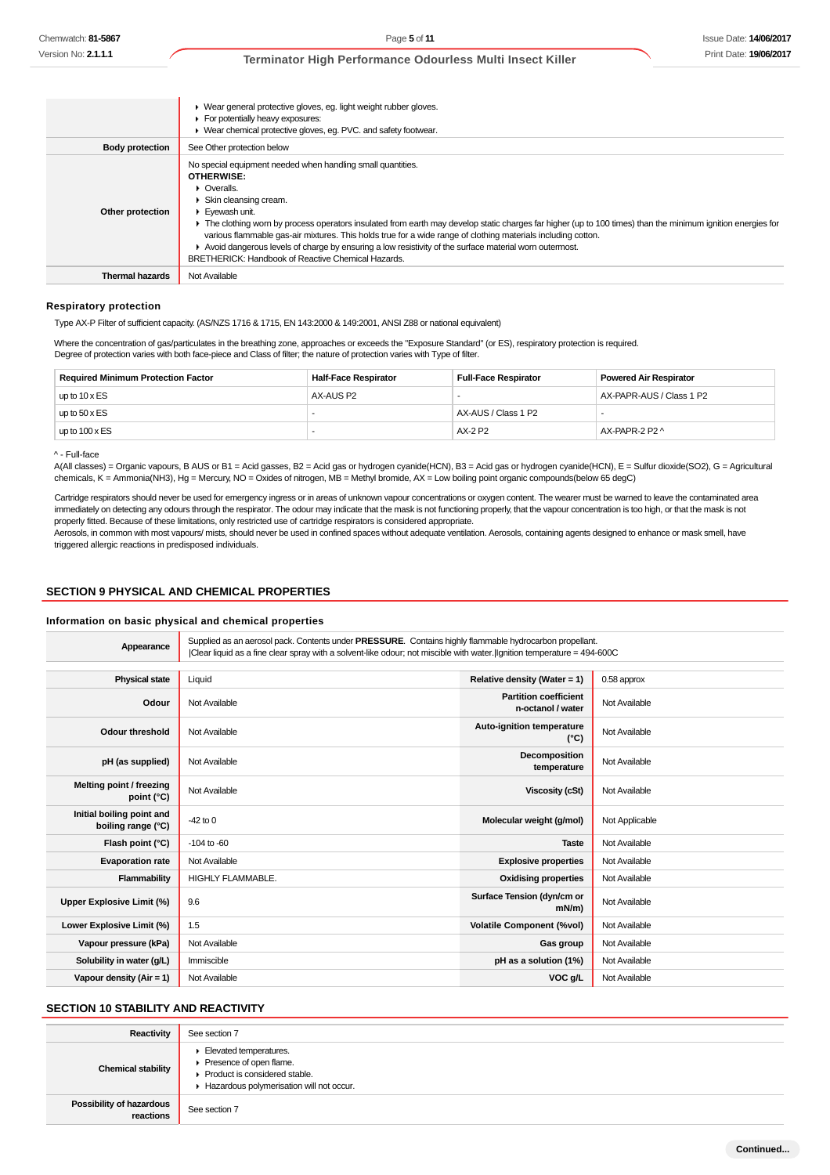|                        | ▶ Wear general protective gloves, eg. light weight rubber gloves.<br>For potentially heavy exposures:<br>• Wear chemical protective gloves, eq. PVC. and safety footwear.                                                                                                                                                                                                                                                                                                                                                                                                                                                   |
|------------------------|-----------------------------------------------------------------------------------------------------------------------------------------------------------------------------------------------------------------------------------------------------------------------------------------------------------------------------------------------------------------------------------------------------------------------------------------------------------------------------------------------------------------------------------------------------------------------------------------------------------------------------|
| <b>Body protection</b> | See Other protection below                                                                                                                                                                                                                                                                                                                                                                                                                                                                                                                                                                                                  |
| Other protection       | No special equipment needed when handling small quantities.<br><b>OTHERWISE:</b><br>$\triangleright$ Overalls.<br>Skin cleansing cream.<br>$\triangleright$ Evewash unit.<br>• The clothing worn by process operators insulated from earth may develop static charges far higher (up to 100 times) than the minimum ignition energies for<br>various flammable gas-air mixtures. This holds true for a wide range of clothing materials including cotton.<br>► Avoid dangerous levels of charge by ensuring a low resistivity of the surface material worn outermost.<br>BRETHERICK: Handbook of Reactive Chemical Hazards. |
| Thermal hazards        | Not Available                                                                                                                                                                                                                                                                                                                                                                                                                                                                                                                                                                                                               |

#### **Respiratory protection**

Type AX-P Filter of sufficient capacity. (AS/NZS 1716 & 1715, EN 143:2000 & 149:2001, ANSI Z88 or national equivalent)

Where the concentration of gas/particulates in the breathing zone, approaches or exceeds the "Exposure Standard" (or ES), respiratory protection is required. Degree of protection varies with both face-piece and Class of filter; the nature of protection varies with Type of filter.

| <b>Required Minimum Protection Factor</b> | <b>Half-Face Respirator</b> | <b>Full-Face Respirator</b> | <b>Powered Air Respirator</b> |
|-------------------------------------------|-----------------------------|-----------------------------|-------------------------------|
| up to $10 \times ES$                      | AX-AUS P2                   |                             | AX-PAPR-AUS / Class 1 P2      |
| up to $50 \times ES$                      |                             | AX-AUS / Class 1 P2         |                               |
| up to $100 \times ES$                     |                             | AX-2 P2                     | AX-PAPR-2 P2 ^                |

#### ^ - Full-face

A(All classes) = Organic vapours, B AUS or B1 = Acid gasses, B2 = Acid gas or hydrogen cyanide(HCN), B3 = Acid gas or hydrogen cyanide(HCN), E = Sulfur dioxide(SO2), G = Agricultural chemicals, K = Ammonia(NH3), Hg = Mercury, NO = Oxides of nitrogen, MB = Methyl bromide, AX = Low boiling point organic compounds(below 65 degC)

Cartridge respirators should never be used for emergency ingress or in areas of unknown vapour concentrations or oxygen content. The wearer must be warned to leave the contaminated area immediately on detecting any odours through the respirator. The odour may indicate that the mask is not functioning properly, that the vapour concentration is too high, or that the mask is not properly fitted. Because of these limitations, only restricted use of cartridge respirators is considered appropriate.

Aerosols, in common with most vapours/ mists, should never be used in confined spaces without adequate ventilation. Aerosols, containing agents designed to enhance or mask smell, have triggered allergic reactions in predisposed individuals.

### **SECTION 9 PHYSICAL AND CHEMICAL PROPERTIES**

#### **Information on basic physical and chemical properties**

| Appearance                                      |                          | Supplied as an aerosol pack. Contents under PRESSURE. Contains highly flammable hydrocarbon propellant.<br>Clear liquid as a fine clear spray with a solvent-like odour; not miscible with water. Ilgnition temperature = 494-600C |                |
|-------------------------------------------------|--------------------------|------------------------------------------------------------------------------------------------------------------------------------------------------------------------------------------------------------------------------------|----------------|
|                                                 |                          |                                                                                                                                                                                                                                    |                |
| <b>Physical state</b>                           | Liquid                   | Relative density (Water = $1$ )                                                                                                                                                                                                    | 0.58 approx    |
| Odour                                           | Not Available            | <b>Partition coefficient</b><br>n-octanol / water                                                                                                                                                                                  | Not Available  |
| <b>Odour threshold</b>                          | Not Available            | Auto-ignition temperature<br>$(^{\circ}C)$                                                                                                                                                                                         | Not Available  |
| pH (as supplied)                                | Not Available            | Decomposition<br>temperature                                                                                                                                                                                                       | Not Available  |
| Melting point / freezing<br>point (°C)          | Not Available            | Viscosity (cSt)                                                                                                                                                                                                                    | Not Available  |
| Initial boiling point and<br>boiling range (°C) | $-42$ to 0               | Molecular weight (g/mol)                                                                                                                                                                                                           | Not Applicable |
| Flash point (°C)                                | $-104$ to $-60$          | <b>Taste</b>                                                                                                                                                                                                                       | Not Available  |
| <b>Evaporation rate</b>                         | Not Available            | <b>Explosive properties</b>                                                                                                                                                                                                        | Not Available  |
| Flammability                                    | <b>HIGHLY FLAMMABLE.</b> | <b>Oxidising properties</b>                                                                                                                                                                                                        | Not Available  |
| Upper Explosive Limit (%)                       | 9.6                      | Surface Tension (dyn/cm or<br>$mN/m$ )                                                                                                                                                                                             | Not Available  |
| Lower Explosive Limit (%)                       | 1.5                      | <b>Volatile Component (%vol)</b>                                                                                                                                                                                                   | Not Available  |
| Vapour pressure (kPa)                           | Not Available            | Gas group                                                                                                                                                                                                                          | Not Available  |
| Solubility in water (q/L)                       | Immiscible               | pH as a solution (1%)                                                                                                                                                                                                              | Not Available  |
| Vapour density (Air = 1)                        | Not Available            | VOC g/L                                                                                                                                                                                                                            | Not Available  |

## **SECTION 10 STABILITY AND REACTIVITY**

| Reactivity                                   | See section 7                                                                                                                    |
|----------------------------------------------|----------------------------------------------------------------------------------------------------------------------------------|
| <b>Chemical stability</b>                    | Elevated temperatures.<br>Presence of open flame.<br>▶ Product is considered stable.<br>Hazardous polymerisation will not occur. |
| <b>Possibility of hazardous</b><br>reactions | See section 7                                                                                                                    |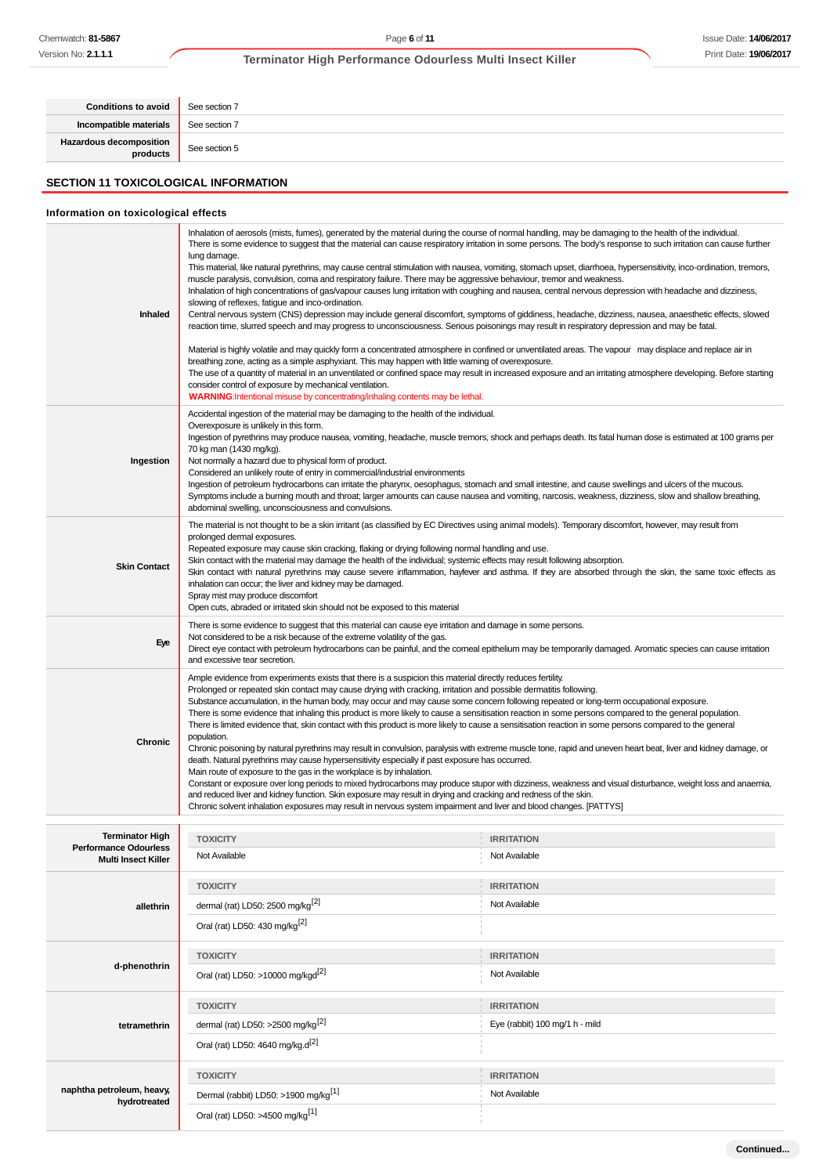| <b>Conditions to avoid</b>          | See section 7 |
|-------------------------------------|---------------|
| Incompatible materials              | See section 7 |
| Hazardous decomposition<br>products | See section 5 |
|                                     |               |

## **SECTION 11 TOXICOLOGICAL INFORMATION**

## **Information on toxicological effects**

| Inhaled                                                                              | Inhalation of aerosols (mists, fumes), generated by the material during the course of normal handling, may be damaging to the health of the individual.<br>There is some evidence to suggest that the material can cause respiratory irritation in some persons. The body's response to such irritation can cause further<br>lung damage.<br>This material, like natural pyrethrins, may cause central stimulation with nausea, vomiting, stomach upset, diarrhoea, hypersensitivity, inco-ordination, tremors,<br>muscle paralysis, convulsion, coma and respiratory failure. There may be aggressive behaviour, tremor and weakness.<br>Inhalation of high concentrations of gas/vapour causes lung irritation with coughing and nausea, central nervous depression with headache and dizziness,<br>slowing of reflexes, fatigue and inco-ordination.<br>Central nervous system (CNS) depression may include general discomfort, symptoms of giddiness, headache, dizziness, nausea, anaesthetic effects, slowed<br>reaction time, slurred speech and may progress to unconsciousness. Serious poisonings may result in respiratory depression and may be fatal.<br>Material is highly volatile and may quickly form a concentrated atmosphere in confined or unventilated areas. The vapour may displace and replace air in<br>breathing zone, acting as a simple asphyxiant. This may happen with little warning of overexposure.<br>The use of a quantity of material in an unventilated or confined space may result in increased exposure and an irritating atmosphere developing. Before starting<br>consider control of exposure by mechanical ventilation. |                                                                                                                                                             |
|--------------------------------------------------------------------------------------|----------------------------------------------------------------------------------------------------------------------------------------------------------------------------------------------------------------------------------------------------------------------------------------------------------------------------------------------------------------------------------------------------------------------------------------------------------------------------------------------------------------------------------------------------------------------------------------------------------------------------------------------------------------------------------------------------------------------------------------------------------------------------------------------------------------------------------------------------------------------------------------------------------------------------------------------------------------------------------------------------------------------------------------------------------------------------------------------------------------------------------------------------------------------------------------------------------------------------------------------------------------------------------------------------------------------------------------------------------------------------------------------------------------------------------------------------------------------------------------------------------------------------------------------------------------------------------------------------------------------------------------------------------------------|-------------------------------------------------------------------------------------------------------------------------------------------------------------|
|                                                                                      | <b>WARNING:</b> Intentional misuse by concentrating/inhaling contents may be lethal.                                                                                                                                                                                                                                                                                                                                                                                                                                                                                                                                                                                                                                                                                                                                                                                                                                                                                                                                                                                                                                                                                                                                                                                                                                                                                                                                                                                                                                                                                                                                                                                 |                                                                                                                                                             |
| Ingestion                                                                            | Accidental ingestion of the material may be damaging to the health of the individual.<br>Overexposure is unlikely in this form.<br>70 kg man (1430 mg/kg).<br>Not normally a hazard due to physical form of product.<br>Considered an unlikely route of entry in commercial/industrial environments<br>Ingestion of petroleum hydrocarbons can irritate the pharynx, oesophagus, stomach and small intestine, and cause swellings and ulcers of the mucous.<br>Symptoms include a burning mouth and throat; larger amounts can cause nausea and vomiting, narcosis, weakness, dizziness, slow and shallow breathing,<br>abdominal swelling, unconsciousness and convulsions.                                                                                                                                                                                                                                                                                                                                                                                                                                                                                                                                                                                                                                                                                                                                                                                                                                                                                                                                                                                         | Ingestion of pyrethrins may produce nausea, vomiting, headache, muscle tremors, shock and perhaps death. Its fatal human dose is estimated at 100 grams per |
| <b>Skin Contact</b>                                                                  | The material is not thought to be a skin irritant (as classified by EC Directives using animal models). Temporary discomfort, however, may result from<br>prolonged dermal exposures.<br>Repeated exposure may cause skin cracking, flaking or drying following normal handling and use.<br>Skin contact with the material may damage the health of the individual; systemic effects may result following absorption.<br>inhalation can occur; the liver and kidney may be damaged.<br>Spray mist may produce discomfort<br>Open cuts, abraded or irritated skin should not be exposed to this material                                                                                                                                                                                                                                                                                                                                                                                                                                                                                                                                                                                                                                                                                                                                                                                                                                                                                                                                                                                                                                                              | Skin contact with natural pyrethrins may cause severe inflammation, hayfever and asthma. If they are absorbed through the skin, the same toxic effects as   |
| Eye                                                                                  | There is some evidence to suggest that this material can cause eye irritation and damage in some persons.<br>Not considered to be a risk because of the extreme volatility of the gas.<br>Direct eye contact with petroleum hydrocarbons can be painful, and the corneal epithelium may be temporarily damaged. Aromatic species can cause irritation<br>and excessive tear secretion.                                                                                                                                                                                                                                                                                                                                                                                                                                                                                                                                                                                                                                                                                                                                                                                                                                                                                                                                                                                                                                                                                                                                                                                                                                                                               |                                                                                                                                                             |
| <b>Chronic</b>                                                                       | Ample evidence from experiments exists that there is a suspicion this material directly reduces fertility.<br>Prolonged or repeated skin contact may cause drying with cracking, irritation and possible dermatitis following.<br>Substance accumulation, in the human body, may occur and may cause some concern following repeated or long-term occupational exposure.<br>There is some evidence that inhaling this product is more likely to cause a sensitisation reaction in some persons compared to the general population.<br>There is limited evidence that, skin contact with this product is more likely to cause a sensitisation reaction in some persons compared to the general<br>population.<br>Chronic poisoning by natural pyrethrins may result in convulsion, paralysis with extreme muscle tone, rapid and uneven heart beat, liver and kidney damage, or<br>death. Natural pyrethrins may cause hypersensitivity especially if past exposure has occurred.<br>Main route of exposure to the gas in the workplace is by inhalation.                                                                                                                                                                                                                                                                                                                                                                                                                                                                                                                                                                                                             |                                                                                                                                                             |
|                                                                                      | Constant or exposure over long periods to mixed hydrocarbons may produce stupor with dizziness, weakness and visual disturbance, weight loss and anaemia,<br>and reduced liver and kidney function. Skin exposure may result in drying and cracking and redness of the skin.<br>Chronic solvent inhalation exposures may result in nervous system impairment and liver and blood changes. [PATTYS]                                                                                                                                                                                                                                                                                                                                                                                                                                                                                                                                                                                                                                                                                                                                                                                                                                                                                                                                                                                                                                                                                                                                                                                                                                                                   |                                                                                                                                                             |
|                                                                                      |                                                                                                                                                                                                                                                                                                                                                                                                                                                                                                                                                                                                                                                                                                                                                                                                                                                                                                                                                                                                                                                                                                                                                                                                                                                                                                                                                                                                                                                                                                                                                                                                                                                                      |                                                                                                                                                             |
| <b>Terminator High</b><br><b>Pertormance Odourless</b><br><b>Multi Insect Killer</b> | <b>TOXICITY</b><br>Not Available                                                                                                                                                                                                                                                                                                                                                                                                                                                                                                                                                                                                                                                                                                                                                                                                                                                                                                                                                                                                                                                                                                                                                                                                                                                                                                                                                                                                                                                                                                                                                                                                                                     | <b>IRRITATION</b><br>Not Available                                                                                                                          |
|                                                                                      |                                                                                                                                                                                                                                                                                                                                                                                                                                                                                                                                                                                                                                                                                                                                                                                                                                                                                                                                                                                                                                                                                                                                                                                                                                                                                                                                                                                                                                                                                                                                                                                                                                                                      |                                                                                                                                                             |
|                                                                                      | <b>TOXICITY</b>                                                                                                                                                                                                                                                                                                                                                                                                                                                                                                                                                                                                                                                                                                                                                                                                                                                                                                                                                                                                                                                                                                                                                                                                                                                                                                                                                                                                                                                                                                                                                                                                                                                      | <b>IRRITATION</b>                                                                                                                                           |
| allethrin                                                                            | dermal (rat) LD50: 2500 mg/kg <sup>[2]</sup><br>Oral (rat) LD50: 430 mg/kg <sup>[2]</sup>                                                                                                                                                                                                                                                                                                                                                                                                                                                                                                                                                                                                                                                                                                                                                                                                                                                                                                                                                                                                                                                                                                                                                                                                                                                                                                                                                                                                                                                                                                                                                                            | Not Available                                                                                                                                               |
|                                                                                      |                                                                                                                                                                                                                                                                                                                                                                                                                                                                                                                                                                                                                                                                                                                                                                                                                                                                                                                                                                                                                                                                                                                                                                                                                                                                                                                                                                                                                                                                                                                                                                                                                                                                      |                                                                                                                                                             |
| d-phenothrin                                                                         | <b>TOXICITY</b><br>Oral (rat) LD50: >10000 mg/kgd <sup>[2]</sup>                                                                                                                                                                                                                                                                                                                                                                                                                                                                                                                                                                                                                                                                                                                                                                                                                                                                                                                                                                                                                                                                                                                                                                                                                                                                                                                                                                                                                                                                                                                                                                                                     | <b>IRRITATION</b><br>Not Available                                                                                                                          |
|                                                                                      |                                                                                                                                                                                                                                                                                                                                                                                                                                                                                                                                                                                                                                                                                                                                                                                                                                                                                                                                                                                                                                                                                                                                                                                                                                                                                                                                                                                                                                                                                                                                                                                                                                                                      |                                                                                                                                                             |
|                                                                                      | <b>TOXICITY</b>                                                                                                                                                                                                                                                                                                                                                                                                                                                                                                                                                                                                                                                                                                                                                                                                                                                                                                                                                                                                                                                                                                                                                                                                                                                                                                                                                                                                                                                                                                                                                                                                                                                      | <b>IRRITATION</b><br>Eye (rabbit) 100 mg/1 h - mild                                                                                                         |
| tetramethrin                                                                         | dermal (rat) LD50: >2500 mg/kg <sup>[2]</sup><br>Oral (rat) LD50: 4640 mg/kg.d <sup>[2]</sup>                                                                                                                                                                                                                                                                                                                                                                                                                                                                                                                                                                                                                                                                                                                                                                                                                                                                                                                                                                                                                                                                                                                                                                                                                                                                                                                                                                                                                                                                                                                                                                        |                                                                                                                                                             |
|                                                                                      |                                                                                                                                                                                                                                                                                                                                                                                                                                                                                                                                                                                                                                                                                                                                                                                                                                                                                                                                                                                                                                                                                                                                                                                                                                                                                                                                                                                                                                                                                                                                                                                                                                                                      |                                                                                                                                                             |
| naphtha petroleum, heavy,                                                            | <b>TOXICITY</b>                                                                                                                                                                                                                                                                                                                                                                                                                                                                                                                                                                                                                                                                                                                                                                                                                                                                                                                                                                                                                                                                                                                                                                                                                                                                                                                                                                                                                                                                                                                                                                                                                                                      | <b>IRRITATION</b>                                                                                                                                           |
| hydrotreated                                                                         | Dermal (rabbit) LD50: >1900 mg/kg <sup>[1]</sup><br>Oral (rat) LD50: >4500 mg/kg <sup>[1]</sup>                                                                                                                                                                                                                                                                                                                                                                                                                                                                                                                                                                                                                                                                                                                                                                                                                                                                                                                                                                                                                                                                                                                                                                                                                                                                                                                                                                                                                                                                                                                                                                      | Not Available                                                                                                                                               |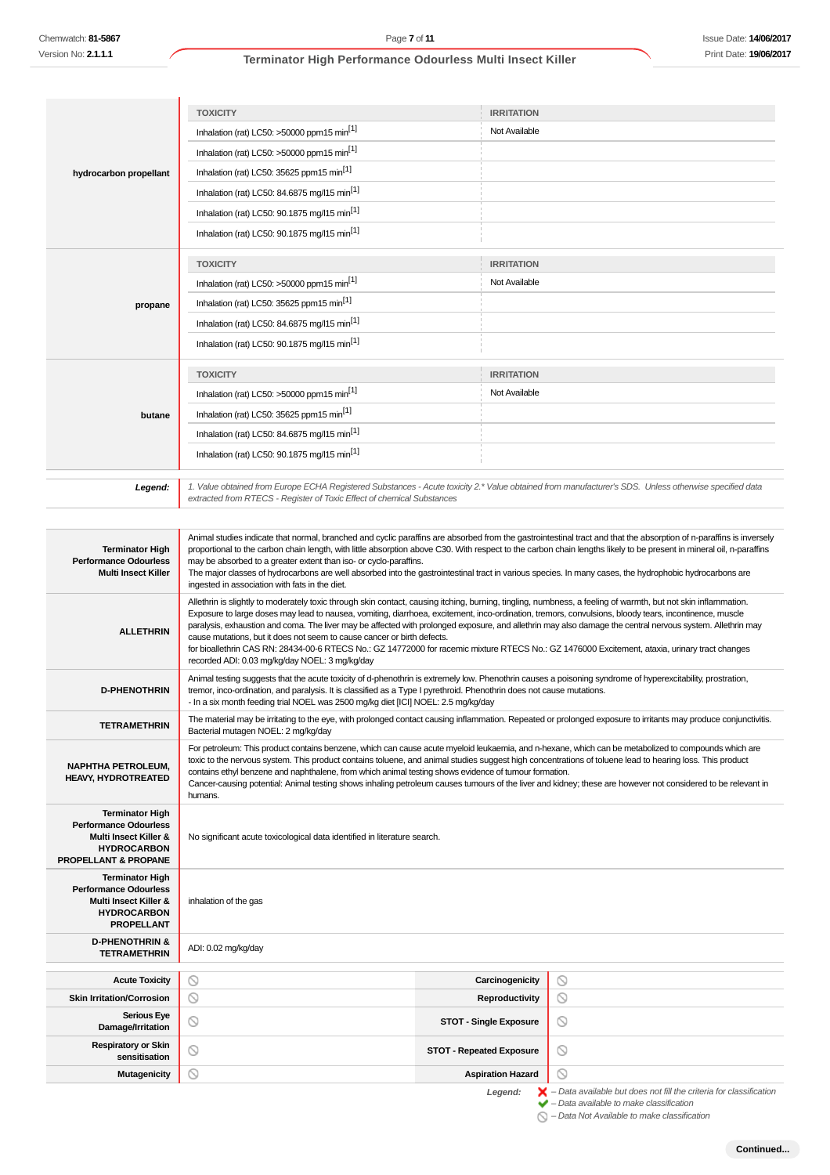| Chemwatch: <b>81-5867</b>                                                                                                     | Page 7 of 11                                                                                                                                                                                                                                                                                                                                                                                                                                                                                                                                                                                                       |                                                             | <b>Issue Date: 14/06/2017</b> |
|-------------------------------------------------------------------------------------------------------------------------------|--------------------------------------------------------------------------------------------------------------------------------------------------------------------------------------------------------------------------------------------------------------------------------------------------------------------------------------------------------------------------------------------------------------------------------------------------------------------------------------------------------------------------------------------------------------------------------------------------------------------|-------------------------------------------------------------|-------------------------------|
| Version No: <b>2.1.1.1</b>                                                                                                    | Terminator High Performance Odourless Multi Insect Killer                                                                                                                                                                                                                                                                                                                                                                                                                                                                                                                                                          |                                                             | Print Date: 19/06/2017        |
|                                                                                                                               |                                                                                                                                                                                                                                                                                                                                                                                                                                                                                                                                                                                                                    |                                                             |                               |
|                                                                                                                               |                                                                                                                                                                                                                                                                                                                                                                                                                                                                                                                                                                                                                    |                                                             |                               |
|                                                                                                                               | <b>TOXICITY</b>                                                                                                                                                                                                                                                                                                                                                                                                                                                                                                                                                                                                    | <b>IRRITATION</b>                                           |                               |
|                                                                                                                               | Inhalation (rat) LC50: >50000 ppm15 min <sup>[1]</sup>                                                                                                                                                                                                                                                                                                                                                                                                                                                                                                                                                             | Not Available                                               |                               |
|                                                                                                                               | Inhalation (rat) LC50: >50000 ppm15 min <sup>[1]</sup>                                                                                                                                                                                                                                                                                                                                                                                                                                                                                                                                                             |                                                             |                               |
| hydrocarbon propellant                                                                                                        | Inhalation (rat) LC50: 35625 ppm15 min <sup>[1]</sup>                                                                                                                                                                                                                                                                                                                                                                                                                                                                                                                                                              |                                                             |                               |
|                                                                                                                               | Inhalation (rat) LC50: 84.6875 mg/l15 min <sup>[1]</sup>                                                                                                                                                                                                                                                                                                                                                                                                                                                                                                                                                           |                                                             |                               |
|                                                                                                                               | Inhalation (rat) LC50: 90.1875 mg/l15 min <sup>[1]</sup>                                                                                                                                                                                                                                                                                                                                                                                                                                                                                                                                                           |                                                             |                               |
|                                                                                                                               | Inhalation (rat) LC50: 90.1875 mg/l15 min <sup>[1]</sup>                                                                                                                                                                                                                                                                                                                                                                                                                                                                                                                                                           |                                                             |                               |
|                                                                                                                               | <b>TOXICITY</b>                                                                                                                                                                                                                                                                                                                                                                                                                                                                                                                                                                                                    | <b>IRRITATION</b>                                           |                               |
|                                                                                                                               | Inhalation (rat) LC50: >50000 ppm15 min <sup>[1]</sup>                                                                                                                                                                                                                                                                                                                                                                                                                                                                                                                                                             | Not Available                                               |                               |
| propane                                                                                                                       | Inhalation (rat) LC50: 35625 ppm15 min <sup>[1]</sup>                                                                                                                                                                                                                                                                                                                                                                                                                                                                                                                                                              |                                                             |                               |
|                                                                                                                               | Inhalation (rat) LC50: 84.6875 mg/l15 min <sup>[1]</sup>                                                                                                                                                                                                                                                                                                                                                                                                                                                                                                                                                           |                                                             |                               |
|                                                                                                                               | Inhalation (rat) LC50: 90.1875 mg/l15 min <sup>[1]</sup>                                                                                                                                                                                                                                                                                                                                                                                                                                                                                                                                                           |                                                             |                               |
|                                                                                                                               | <b>TOXICITY</b>                                                                                                                                                                                                                                                                                                                                                                                                                                                                                                                                                                                                    | <b>IRRITATION</b>                                           |                               |
|                                                                                                                               | Inhalation (rat) LC50: >50000 ppm15 min <sup>[1]</sup>                                                                                                                                                                                                                                                                                                                                                                                                                                                                                                                                                             | Not Available                                               |                               |
| butane                                                                                                                        | Inhalation (rat) LC50: 35625 ppm15 min <sup>[1]</sup>                                                                                                                                                                                                                                                                                                                                                                                                                                                                                                                                                              |                                                             |                               |
|                                                                                                                               | Inhalation (rat) LC50: 84.6875 mg/l15 min <sup>[1]</sup>                                                                                                                                                                                                                                                                                                                                                                                                                                                                                                                                                           |                                                             |                               |
|                                                                                                                               | Inhalation (rat) LC50: 90.1875 mg/l15 min <sup>[1]</sup>                                                                                                                                                                                                                                                                                                                                                                                                                                                                                                                                                           |                                                             |                               |
|                                                                                                                               |                                                                                                                                                                                                                                                                                                                                                                                                                                                                                                                                                                                                                    |                                                             |                               |
| Legend:                                                                                                                       | 1. Value obtained from Europe ECHA Registered Substances - Acute toxicity 2.* Value obtained from manufacturer's SDS. Unless otherwise specified data                                                                                                                                                                                                                                                                                                                                                                                                                                                              |                                                             |                               |
|                                                                                                                               | extracted from RTECS - Register of Toxic Effect of chemical Substances                                                                                                                                                                                                                                                                                                                                                                                                                                                                                                                                             |                                                             |                               |
| <b>Terminator High</b><br><b>Performance Odourless</b><br><b>Multi Insect Killer</b>                                          | Animal studies indicate that normal, branched and cyclic paraffins are absorbed from the gastrointestinal tract and that the absorption of n-paraffins is inversely<br>proportional to the carbon chain length, with little absorption above C30. With respect to the carbon chain lengths likely to be present in mineral oil, n-paraffins<br>may be absorbed to a greater extent than iso- or cyclo-paraffins.<br>The major classes of hydrocarbons are well absorbed into the gastrointestinal tract in various species. In many cases, the hydrophobic hydrocarbons are                                        |                                                             |                               |
| <b>ALLETHRIN</b>                                                                                                              | ingested in association with fats in the diet.<br>Allethrin is slightly to moderately toxic through skin contact, causing itching, burning, tingling, numbness, a feeling of warmth, but not skin inflammation.<br>Exposure to large doses may lead to nausea, vomiting, diarrhoea, excitement, inco-ordination, tremors, convulsions, bloody tears, incontinence, muscle<br>paralysis, exhaustion and coma. The liver may be affected with prolonged exposure, and allethrin may also damage the central nervous system. Allethrin may<br>cause mutations, but it does not seem to cause cancer or birth defects. |                                                             |                               |
|                                                                                                                               | for bioallethrin CAS RN: 28434-00-6 RTECS No.: GZ 14772000 for racemic mixture RTECS No.: GZ 1476000 Excitement, ataxia, urinary tract changes<br>recorded ADI: 0.03 mg/kg/day NOEL: 3 mg/kg/day                                                                                                                                                                                                                                                                                                                                                                                                                   |                                                             |                               |
| <b>D-PHENOTHRIN</b>                                                                                                           | Animal testing suggests that the acute toxicity of d-phenothrin is extremely low. Phenothrin causes a poisoning syndrome of hyperexcitability, prostration,<br>tremor, inco-ordination, and paralysis. It is classified as a Type I pyrethroid. Phenothrin does not cause mutations.<br>- In a six month feeding trial NOEL was 2500 mg/kg diet [ICI] NOEL: 2.5 mg/kg/day                                                                                                                                                                                                                                          |                                                             |                               |
| <b>TETRAMETHRIN</b>                                                                                                           | The material may be irritating to the eye, with prolonged contact causing inflammation. Repeated or prolonged exposure to irritants may produce conjunctivitis.<br>Bacterial mutagen NOEL: 2 mg/kg/day                                                                                                                                                                                                                                                                                                                                                                                                             |                                                             |                               |
| <b>NAPHTHA PETROLEUM.</b><br><b>HEAVY, HYDROTREATED</b>                                                                       | For petroleum: This product contains benzene, which can cause acute myeloid leukaemia, and n-hexane, which can be metabolized to compounds which are<br>toxic to the nervous system. This product contains toluene, and animal studies suggest high concentrations of toluene lead to hearing loss. This product<br>contains ethyl benzene and naphthalene, from which animal testing shows evidence of tumour formation.<br>Cancer-causing potential: Animal testing shows inhaling petroleum causes tumours of the liver and kidney; these are however not considered to be relevant in<br>humans.               |                                                             |                               |
| <b>Terminator High</b><br><b>Performance Odourless</b><br>Multi Insect Killer &<br><b>HYDROCARBON</b><br>PROPELLANT & PROPANE | No significant acute toxicological data identified in literature search.                                                                                                                                                                                                                                                                                                                                                                                                                                                                                                                                           |                                                             |                               |
| <b>Terminator High</b><br><b>Performance Odourless</b><br>Multi Insect Killer &<br><b>HYDROCARBON</b><br><b>PROPELLANT</b>    | inhalation of the gas                                                                                                                                                                                                                                                                                                                                                                                                                                                                                                                                                                                              |                                                             |                               |
| <b>D-PHENOTHRIN &amp;</b><br><b>TETRAMETHRIN</b>                                                                              | ADI: 0.02 mg/kg/day                                                                                                                                                                                                                                                                                                                                                                                                                                                                                                                                                                                                |                                                             |                               |
| <b>Acute Toxicity</b>                                                                                                         | ◎                                                                                                                                                                                                                                                                                                                                                                                                                                                                                                                                                                                                                  | Carcinogenicity                                             |                               |
| <b>Skin Irritation/Corrosion</b>                                                                                              | ◎                                                                                                                                                                                                                                                                                                                                                                                                                                                                                                                                                                                                                  | Reproductivity                                              | $\circledcirc$<br>$\circ$     |
| <b>Serious Eye</b>                                                                                                            | ◎                                                                                                                                                                                                                                                                                                                                                                                                                                                                                                                                                                                                                  | <b>STOT - Single Exposure</b>                               | ◎                             |
| Damage/Irritation<br><b>Respiratory or Skin</b>                                                                               |                                                                                                                                                                                                                                                                                                                                                                                                                                                                                                                                                                                                                    |                                                             |                               |
| sensitisation<br><b>Mutagenicity</b>                                                                                          | ◎<br>$\circlearrowright$                                                                                                                                                                                                                                                                                                                                                                                                                                                                                                                                                                                           | <b>STOT - Repeated Exposure</b><br><b>Aspiration Hazard</b> | ◎<br>◎                        |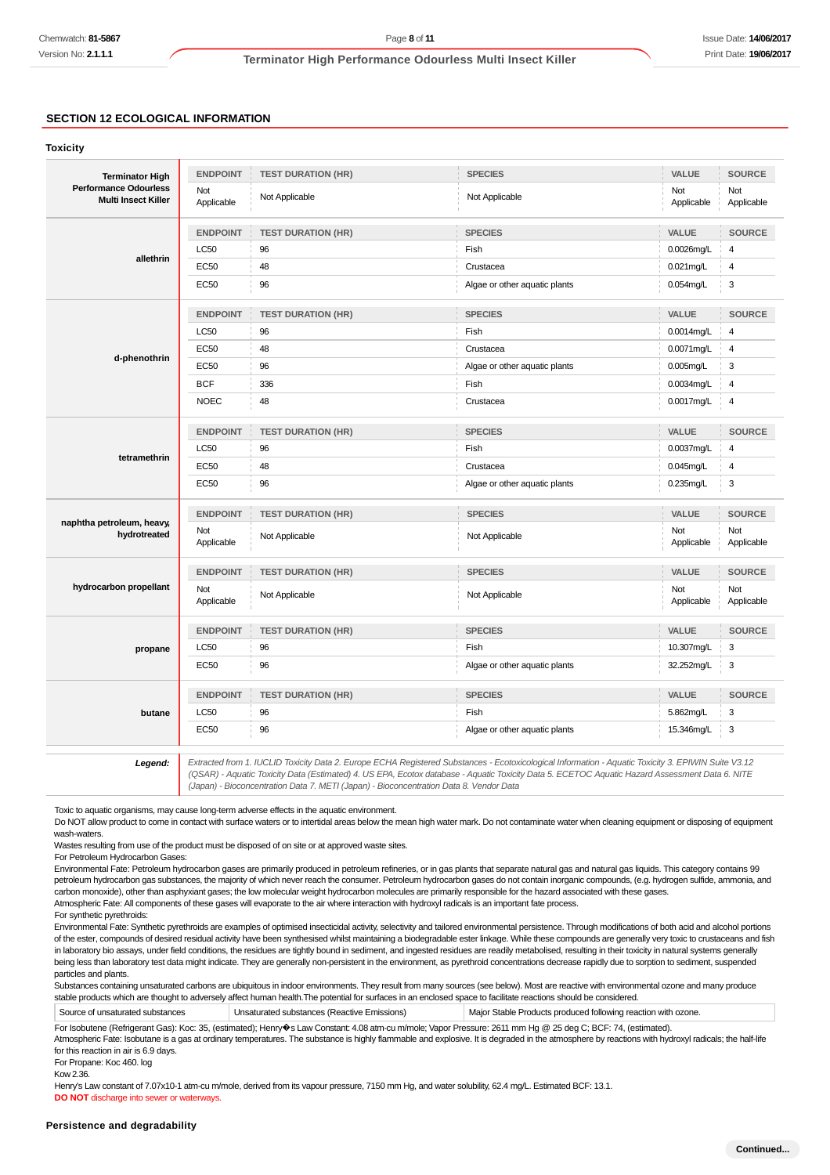## **SECTION 12 ECOLOGICAL INFORMATION**

#### **Toxicity**

| <b>Terminator High</b>                                     | <b>ENDPOINT</b>   | <b>TEST DURATION (HR)</b> | <b>SPECIES</b>                                                                                                                                      | VALUE             | <b>SOURCE</b>     |
|------------------------------------------------------------|-------------------|---------------------------|-----------------------------------------------------------------------------------------------------------------------------------------------------|-------------------|-------------------|
| <b>Performance Odourless</b><br><b>Multi Insect Killer</b> | Not<br>Applicable | Not Applicable            | Not Applicable                                                                                                                                      | Not<br>Applicable | Not<br>Applicable |
|                                                            | <b>ENDPOINT</b>   | <b>TEST DURATION (HR)</b> | <b>SPECIES</b>                                                                                                                                      | VALUE             | <b>SOURCE</b>     |
|                                                            | <b>LC50</b>       | 96                        | Fish                                                                                                                                                | $0.0026$ mg/L     | $\overline{4}$    |
| allethrin                                                  | <b>EC50</b>       | 48                        | Crustacea                                                                                                                                           | $0.021$ mg/L      | $\overline{4}$    |
|                                                            | EC50              | 96                        | Algae or other aquatic plants                                                                                                                       | $0.054$ mg/L      | 3                 |
|                                                            | <b>ENDPOINT</b>   | <b>TEST DURATION (HR)</b> | <b>SPECIES</b>                                                                                                                                      | VALUE             | <b>SOURCE</b>     |
|                                                            | <b>LC50</b>       | 96                        | Fish                                                                                                                                                | 0.0014mg/L        | 4                 |
|                                                            | <b>EC50</b>       | 48                        | Crustacea                                                                                                                                           | 0.0071mg/L        | 4                 |
| d-phenothrin                                               | <b>EC50</b>       | 96                        | Algae or other aquatic plants                                                                                                                       | $0.005$ mg/L      | 3                 |
|                                                            | <b>BCF</b>        | 336                       | Fish                                                                                                                                                | 0.0034mg/L        | 4                 |
|                                                            | <b>NOEC</b>       | 48                        | Crustacea                                                                                                                                           | 0.0017mg/L        | 4                 |
|                                                            | <b>ENDPOINT</b>   | <b>TEST DURATION (HR)</b> | <b>SPECIES</b>                                                                                                                                      | VALUE             | <b>SOURCE</b>     |
|                                                            | <b>LC50</b>       | 96                        | Fish                                                                                                                                                | 0.0037mg/L        | 4                 |
| tetramethrin                                               | EC50              | 48                        | Crustacea                                                                                                                                           | $0.045$ mg/L      | 4                 |
|                                                            | <b>EC50</b>       | 96                        | Algae or other aquatic plants                                                                                                                       | $0.235$ mg/L      | 3                 |
|                                                            | <b>ENDPOINT</b>   | <b>TEST DURATION (HR)</b> | <b>SPECIES</b>                                                                                                                                      | VALUE             | <b>SOURCE</b>     |
| naphtha petroleum, heavy,<br>hydrotreated                  | Not<br>Applicable | Not Applicable            | Not Applicable                                                                                                                                      | Not<br>Applicable | Not<br>Applicable |
|                                                            | <b>ENDPOINT</b>   | <b>TEST DURATION (HR)</b> | <b>SPECIES</b>                                                                                                                                      | VALUE             | <b>SOURCE</b>     |
| hydrocarbon propellant                                     | Not<br>Applicable | Not Applicable            | Not Applicable                                                                                                                                      | Not<br>Applicable | Not<br>Applicable |
| propane                                                    | <b>ENDPOINT</b>   | <b>TEST DURATION (HR)</b> | <b>SPECIES</b>                                                                                                                                      | VALUE             | <b>SOURCE</b>     |
|                                                            | LC50              | 96                        | Fish                                                                                                                                                | 10.307mg/L        | 3                 |
|                                                            | EC50              | 96                        | Algae or other aquatic plants                                                                                                                       | 32.252mg/L        | 3                 |
|                                                            | <b>ENDPOINT</b>   | <b>TEST DURATION (HR)</b> | <b>SPECIES</b>                                                                                                                                      | VALUE             | <b>SOURCE</b>     |
| butane                                                     | LC50              | 96                        | Fish                                                                                                                                                | 5.862mg/L         | 3                 |
|                                                            | <b>EC50</b>       | 96                        | Algae or other aquatic plants                                                                                                                       | 15.346mg/L        | 3                 |
| Legend:                                                    |                   |                           | Extracted from 1. IUCLID Toxicity Data 2. Europe ECHA Registered Substances - Ecotoxicological Information - Aquatic Toxicity 3. EPIWIN Suite V3.12 |                   |                   |

13.12 Extracted from 1. IUCLID Toxicity Data 2. Europe ECHA Registered Substances - Ecotoxicological Information - Aquatic Toxicity 3. EPIWIN Suite V3.12<br>QSAR) - Aquatic Toxicity Data (Estimated) 4. US EPA, Ecotox database (Japan) - Bioconcentration Data 7. METI (Japan) - Bioconcentration Data 8. Vendor Data

Toxic to aquatic organisms, may cause long-term adverse effects in the aquatic environment.

Do NOT allow product to come in contact with surface waters or to intertidal areas below the mean high water mark. Do not contaminate water when cleaning equipment or disposing of equipment wash-waters

Wastes resulting from use of the product must be disposed of on site or at approved waste sites.

For Petroleum Hydrocarbon Gases:

Environmental Fate: Petroleum hydrocarbon gases are primarily produced in petroleum refineries, or in gas plants that separate natural gas and natural gas liquids. This category contains 99 petroleum hydrocarbon gas substances, the majority of which never reach the consumer. Petroleum hydrocarbon gases do not contain inorganic compounds, (e.g. hydrogen sulfide, ammonia, and carbon monoxide), other than asphyxiant gases; the low molecular weight hydrocarbon molecules are primarily responsible for the hazard associated with these gases.

Atmospheric Fate: All components of these gases will evaporate to the air where interaction with hydroxyl radicals is an important fate process.

For synthetic pyrethroids:

Environmental Fate: Synthetic pyrethroids are examples of optimised insecticidal activity, selectivity and tailored environmental persistence. Through modifications of both acid and alcohol portions of the ester, compounds of desired residual activity have been synthesised whilst maintaining a biodegradable ester linkage. While these compounds are generally very toxic to crustaceans and fish in laboratory bio assays, under field conditions, the residues are tightly bound in sediment, and ingested residues are readily metabolised, resulting in their toxicity in natural systems generally being less than laboratory test data might indicate. They are generally non-persistent in the environment, as pyrethroid concentrations decrease rapidly due to sorption to sediment, suspended particles and plants.

Substances containing unsaturated carbons are ubiquitous in indoor environments. They result from many sources (see below). Most are reactive with environmental ozone and many produce stable products which are thought to adversely affect human health.The potential for surfaces in an enclosed space to facilitate reactions should be considered.

Source of unsaturated substances Unsaturated substances (Reactive Emissions) Major Stable Products produced following reaction with ozone.

For Isobutene (Refrigerant Gas): Koc: 35, (estimated); Henry�s Law Constant: 4.08 atm-cu m/mole; Vapor Pressure: 2611 mm Hg @ 25 deg C; BCF: 74, (estimated).

Atmospheric Fate: Isobutane is a gas at ordinary temperatures. The substance is highly flammable and explosive. It is degraded in the atmosphere by reactions with hydroxyl radicals; the half-life for this reaction in air is 6.9 days.

For Propane: Koc 460. log

Kow 2.36.

Henry's Law constant of 7.07x10-1 atm-cu m/mole, derived from its vapour pressure, 7150 mm Hg, and water solubility, 62.4 mg/L. Estimated BCF: 13.1.

**DO NOT** discharge into sewer or waterways.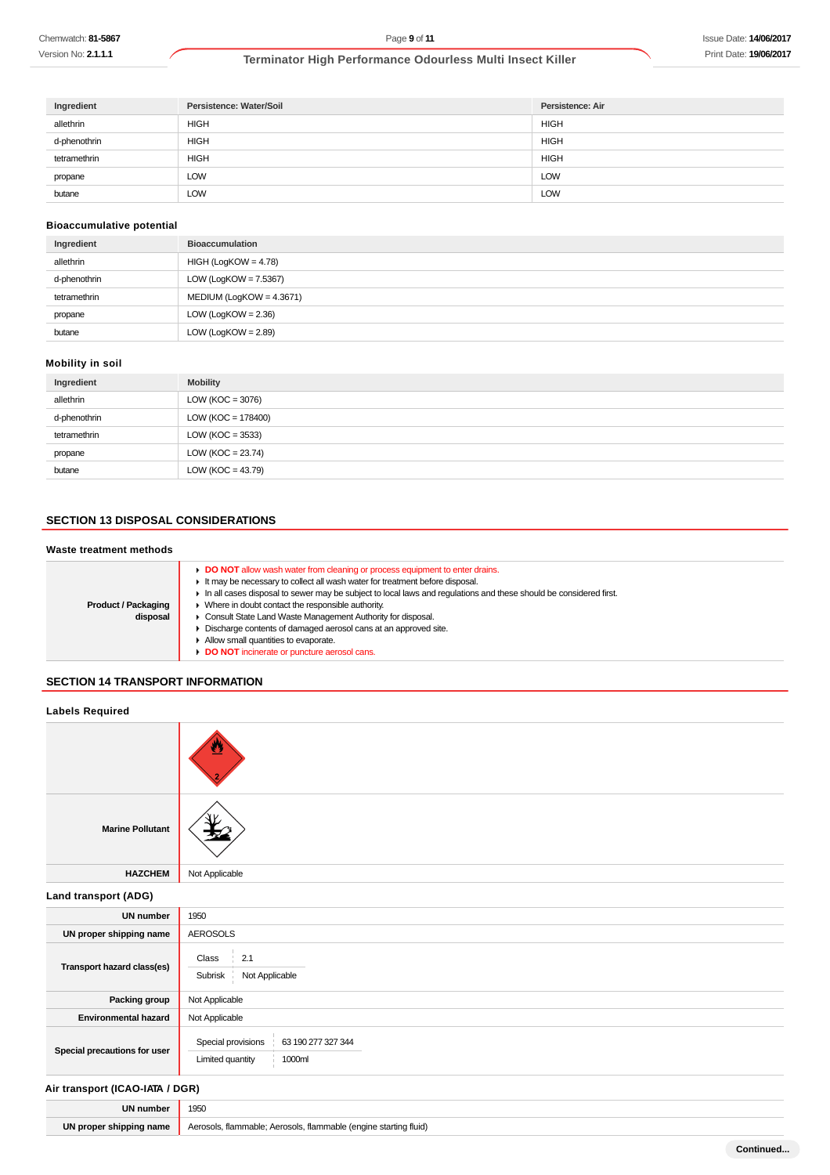Version No: **2.1.1.1**

## **Terminator High Performance Odourless Multi Insect Killer**

| Ingredient   | Persistence: Water/Soil | Persistence: Air |
|--------------|-------------------------|------------------|
| allethrin    | <b>HIGH</b>             | HIGH             |
| d-phenothrin | <b>HIGH</b>             | <b>HIGH</b>      |
| tetramethrin | <b>HIGH</b>             | <b>HIGH</b>      |
| propane      | LOW                     | LOW              |
| butane       | LOW                     | <b>LOW</b>       |

## **Bioaccumulative potential**

| Ingredient   | <b>Bioaccumulation</b>      |
|--------------|-----------------------------|
| allethrin    | $HIGH (LogKOW = 4.78)$      |
| d-phenothrin | LOW (LogKOW = $7.5367$ )    |
| tetramethrin | MEDIUM (LogKOW = $4.3671$ ) |
| propane      | LOW (LogKOW = $2.36$ )      |
| butane       | LOW (LogKOW = $2.89$ )      |

## **Mobility in soil**

| Ingredient   | <b>Mobility</b>       |
|--------------|-----------------------|
| allethrin    | LOW ( $KOC = 3076$ )  |
| d-phenothrin | $LOW (KOC = 178400)$  |
| tetramethrin | LOW ( $KOC = 3533$ )  |
| propane      | LOW ( $KOC = 23.74$ ) |
| butane       | LOW ( $KOC = 43.79$ ) |

## **SECTION 13 DISPOSAL CONSIDERATIONS**

## **Waste treatment methods**

| <b>Product / Packaging</b><br>disposal | ► DO NOT allow wash water from cleaning or process equipment to enter drains.<br>It may be necessary to collect all wash water for treatment before disposal.<br>In all cases disposal to sewer may be subject to local laws and requlations and these should be considered first.<br>Where in doubt contact the responsible authority.<br>Consult State Land Waste Management Authority for disposal.<br>Discharge contents of damaged aerosol cans at an approved site.<br>Allow small quantities to evaporate.<br>DO NOT incinerate or puncture aerosol cans. |
|----------------------------------------|------------------------------------------------------------------------------------------------------------------------------------------------------------------------------------------------------------------------------------------------------------------------------------------------------------------------------------------------------------------------------------------------------------------------------------------------------------------------------------------------------------------------------------------------------------------|
|----------------------------------------|------------------------------------------------------------------------------------------------------------------------------------------------------------------------------------------------------------------------------------------------------------------------------------------------------------------------------------------------------------------------------------------------------------------------------------------------------------------------------------------------------------------------------------------------------------------|

## **SECTION 14 TRANSPORT INFORMATION**

| <b>Labels Required</b>          |                                                                        |
|---------------------------------|------------------------------------------------------------------------|
|                                 |                                                                        |
| <b>Marine Pollutant</b>         |                                                                        |
| <b>HAZCHEM</b>                  | Not Applicable                                                         |
| Land transport (ADG)            |                                                                        |
| <b>UN number</b>                | 1950                                                                   |
| UN proper shipping name         | <b>AEROSOLS</b>                                                        |
| Transport hazard class(es)      | 2.1<br>Class<br>Not Applicable<br>Subrisk                              |
| Packing group                   | Not Applicable                                                         |
| <b>Environmental hazard</b>     | Not Applicable                                                         |
| Special precautions for user    | Special provisions<br>63 190 277 327 344<br>Limited quantity<br>1000ml |
| Air transport (ICAO-IATA / DGR) |                                                                        |
| <b>UN number</b>                | 1950                                                                   |
| UN proper shipping name         | Aerosols, flammable; Aerosols, flammable (engine starting fluid)       |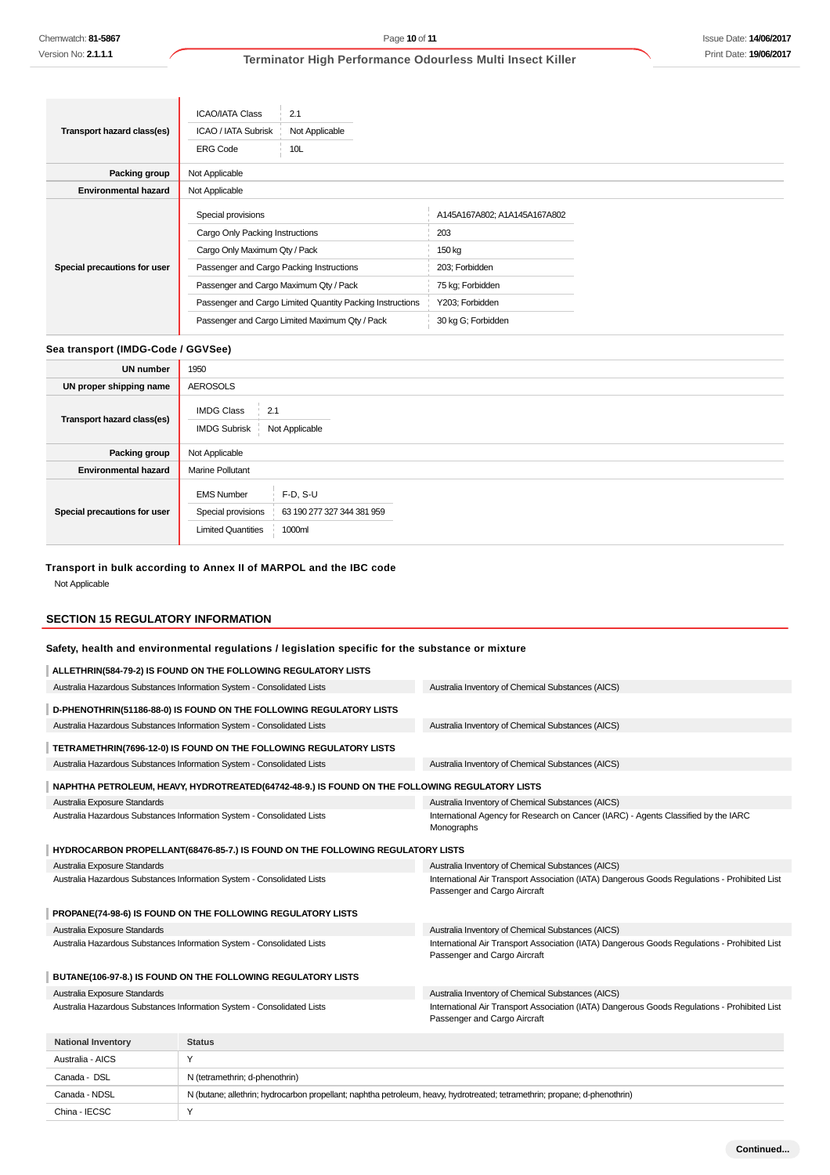|                              | <b>ICAO/IATA Class</b><br>2.1                             |                              |
|------------------------------|-----------------------------------------------------------|------------------------------|
| Transport hazard class(es)   | <b>ICAO / IATA Subrisk</b><br>Not Applicable              |                              |
|                              | <b>ERG Code</b><br>10 <sub>L</sub>                        |                              |
| Packing group                | Not Applicable                                            |                              |
| <b>Environmental hazard</b>  | Not Applicable                                            |                              |
| Special precautions for user | Special provisions                                        | A145A167A802; A1A145A167A802 |
|                              | Cargo Only Packing Instructions                           | 203                          |
|                              | Cargo Only Maximum Qty / Pack                             | 150 kg                       |
|                              | Passenger and Cargo Packing Instructions                  | 203; Forbidden               |
|                              | Passenger and Cargo Maximum Qty / Pack                    | 75 kg; Forbidden             |
|                              | Passenger and Cargo Limited Quantity Packing Instructions | Y203; Forbidden              |
|                              | Passenger and Cargo Limited Maximum Qty / Pack            | 30 kg G; Forbidden           |

#### **Sea transport (IMDG-Code / GGVSee)**

 $\overline{\phantom{a}}$ 

| <b>UN number</b>             | 1950                                                                 |                                                    |  |  |
|------------------------------|----------------------------------------------------------------------|----------------------------------------------------|--|--|
| UN proper shipping name      | <b>AEROSOLS</b>                                                      |                                                    |  |  |
| Transport hazard class(es)   | <b>IMDG Class</b><br>2.1<br><b>IMDG Subrisk</b><br>Not Applicable    |                                                    |  |  |
| Packing group                | Not Applicable                                                       |                                                    |  |  |
| <b>Environmental hazard</b>  | <b>Marine Pollutant</b>                                              |                                                    |  |  |
| Special precautions for user | <b>EMS Number</b><br>Special provisions<br><b>Limited Quantities</b> | $F-D, S-U$<br>63 190 277 327 344 381 959<br>1000ml |  |  |

## **Transport in bulk according to Annex II of MARPOL and the IBC code**

Not Applicable

## **SECTION 15 REGULATORY INFORMATION**

China - IECSC Y

## **Safety, health and environmental regulations / legislation specific for the substance or mixture**

|                                                                        | ALLETHRIN(584-79-2) IS FOUND ON THE FOLLOWING REGULATORY LISTS                                                             |                                                                                                                              |
|------------------------------------------------------------------------|----------------------------------------------------------------------------------------------------------------------------|------------------------------------------------------------------------------------------------------------------------------|
| Australia Hazardous Substances Information System - Consolidated Lists |                                                                                                                            | Australia Inventory of Chemical Substances (AICS)                                                                            |
|                                                                        | D-PHENOTHRIN(51186-88-0) IS FOUND ON THE FOLLOWING REGULATORY LISTS                                                        |                                                                                                                              |
| Australia Hazardous Substances Information System - Consolidated Lists |                                                                                                                            | Australia Inventory of Chemical Substances (AICS)                                                                            |
| TETRAMETHRIN(7696-12-0) IS FOUND ON THE FOLLOWING REGULATORY LISTS     |                                                                                                                            |                                                                                                                              |
|                                                                        | Australia Hazardous Substances Information System - Consolidated Lists                                                     | Australia Inventory of Chemical Substances (AICS)                                                                            |
|                                                                        | NAPHTHA PETROLEUM, HEAVY, HYDROTREATED(64742-48-9.) IS FOUND ON THE FOLLOWING REGULATORY LISTS                             |                                                                                                                              |
| Australia Exposure Standards                                           |                                                                                                                            | Australia Inventory of Chemical Substances (AICS)                                                                            |
| Australia Hazardous Substances Information System - Consolidated Lists |                                                                                                                            | International Agency for Research on Cancer (IARC) - Agents Classified by the IARC<br>Monographs                             |
|                                                                        | HYDROCARBON PROPELLANT(68476-85-7.) IS FOUND ON THE FOLLOWING REGULATORY LISTS                                             |                                                                                                                              |
| Australia Exposure Standards                                           |                                                                                                                            | Australia Inventory of Chemical Substances (AICS)                                                                            |
| Australia Hazardous Substances Information System - Consolidated Lists |                                                                                                                            | International Air Transport Association (IATA) Dangerous Goods Regulations - Prohibited List<br>Passenger and Cargo Aircraft |
|                                                                        | PROPANE(74-98-6) IS FOUND ON THE FOLLOWING REGULATORY LISTS                                                                |                                                                                                                              |
| Australia Exposure Standards                                           |                                                                                                                            | Australia Inventory of Chemical Substances (AICS)                                                                            |
| Australia Hazardous Substances Information System - Consolidated Lists |                                                                                                                            | International Air Transport Association (IATA) Dangerous Goods Regulations - Prohibited List<br>Passenger and Cargo Aircraft |
|                                                                        | BUTANE(106-97-8.) IS FOUND ON THE FOLLOWING REGULATORY LISTS                                                               |                                                                                                                              |
| Australia Exposure Standards                                           |                                                                                                                            | Australia Inventory of Chemical Substances (AICS)                                                                            |
| Australia Hazardous Substances Information System - Consolidated Lists |                                                                                                                            | International Air Transport Association (IATA) Dangerous Goods Regulations - Prohibited List<br>Passenger and Cargo Aircraft |
| <b>National Inventory</b>                                              | <b>Status</b>                                                                                                              |                                                                                                                              |
| Australia - AICS                                                       | Y                                                                                                                          |                                                                                                                              |
| Canada - DSL                                                           | N (tetramethrin; d-phenothrin)                                                                                             |                                                                                                                              |
| Canada - NDSL                                                          | N (butane; allethrin; hydrocarbon propellant; naphtha petroleum, heavy, hydrotreated; tetramethrin; propane; d-phenothrin) |                                                                                                                              |